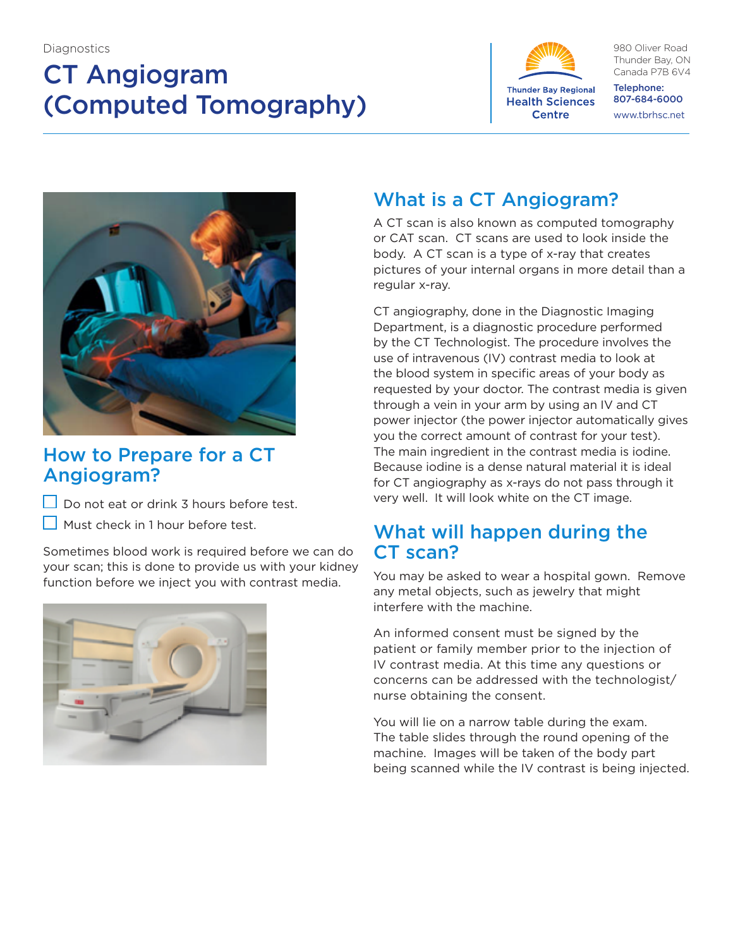# CT Angiogram (Computed Tomography)



980 Oliver Road Thunder Bay, ON Canada P7B 6V4

Telephone: 807-684-6000 www.tbrhsc.net



## How to Prepare for a CT Angiogram?

 $\Box$  Do not eat or drink 3 hours before test.

Must check in 1 hour before test.

Sometimes blood work is required before we can do your scan; this is done to provide us with your kidney function before we inject you with contrast media.



## What is a CT Angiogram?

A CT scan is also known as computed tomography or CAT scan. CT scans are used to look inside the body. A CT scan is a type of x-ray that creates pictures of your internal organs in more detail than a regular x-ray.

CT angiography, done in the Diagnostic Imaging Department, is a diagnostic procedure performed by the CT Technologist. The procedure involves the use of intravenous (IV) contrast media to look at the blood system in specific areas of your body as requested by your doctor. The contrast media is given through a vein in your arm by using an IV and CT power injector (the power injector automatically gives you the correct amount of contrast for your test). The main ingredient in the contrast media is iodine. Because iodine is a dense natural material it is ideal for CT angiography as x-rays do not pass through it very well. It will look white on the CT image.

### What will happen during the CT scan?

You may be asked to wear a hospital gown. Remove any metal objects, such as jewelry that might interfere with the machine.

An informed consent must be signed by the patient or family member prior to the injection of IV contrast media. At this time any questions or concerns can be addressed with the technologist/ nurse obtaining the consent.

You will lie on a narrow table during the exam. The table slides through the round opening of the machine. Images will be taken of the body part being scanned while the IV contrast is being injected.